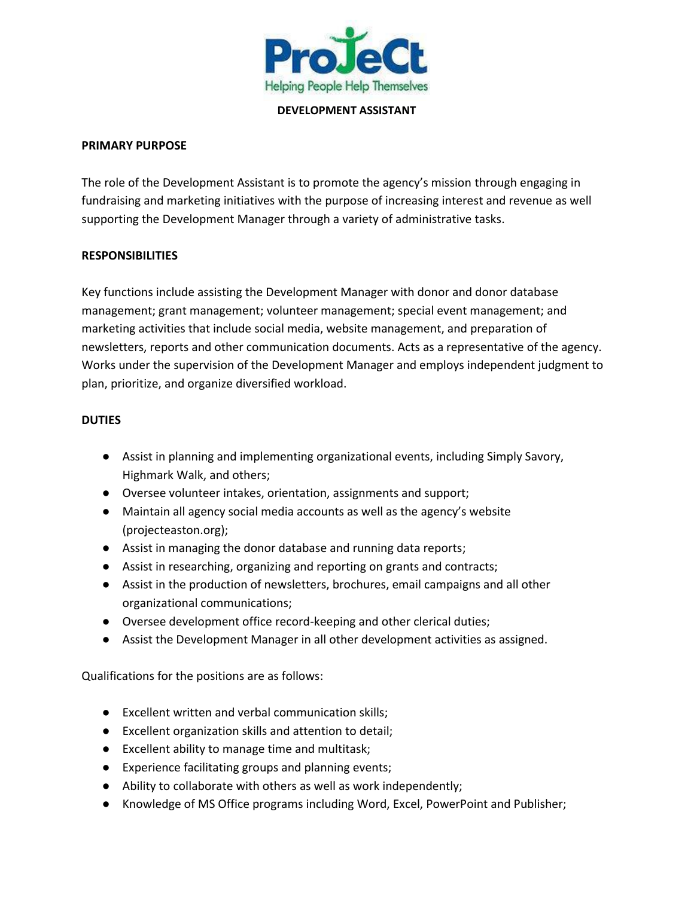

**DEVELOPMENT ASSISTANT**

#### **PRIMARY PURPOSE**

The role of the Development Assistant is to promote the agency's mission through engaging in fundraising and marketing initiatives with the purpose of increasing interest and revenue as well supporting the Development Manager through a variety of administrative tasks.

## **RESPONSIBILITIES**

Key functions include assisting the Development Manager with donor and donor database management; grant management; volunteer management; special event management; and marketing activities that include social media, website management, and preparation of newsletters, reports and other communication documents. Acts as a representative of the agency. Works under the supervision of the Development Manager and employs independent judgment to plan, prioritize, and organize diversified workload.

## **DUTIES**

- Assist in planning and implementing organizational events, including Simply Savory, Highmark Walk, and others;
- Oversee volunteer intakes, orientation, assignments and support;
- Maintain all agency social media accounts as well as the agency's website (projecteaston.org);
- Assist in managing the donor database and running data reports;
- Assist in researching, organizing and reporting on grants and contracts;
- Assist in the production of newsletters, brochures, email campaigns and all other organizational communications;
- Oversee development office record-keeping and other clerical duties;
- Assist the Development Manager in all other development activities as assigned.

Qualifications for the positions are as follows:

- Excellent written and verbal communication skills;
- Excellent organization skills and attention to detail;
- Excellent ability to manage time and multitask;
- Experience facilitating groups and planning events;
- Ability to collaborate with others as well as work independently;
- Knowledge of MS Office programs including Word, Excel, PowerPoint and Publisher;